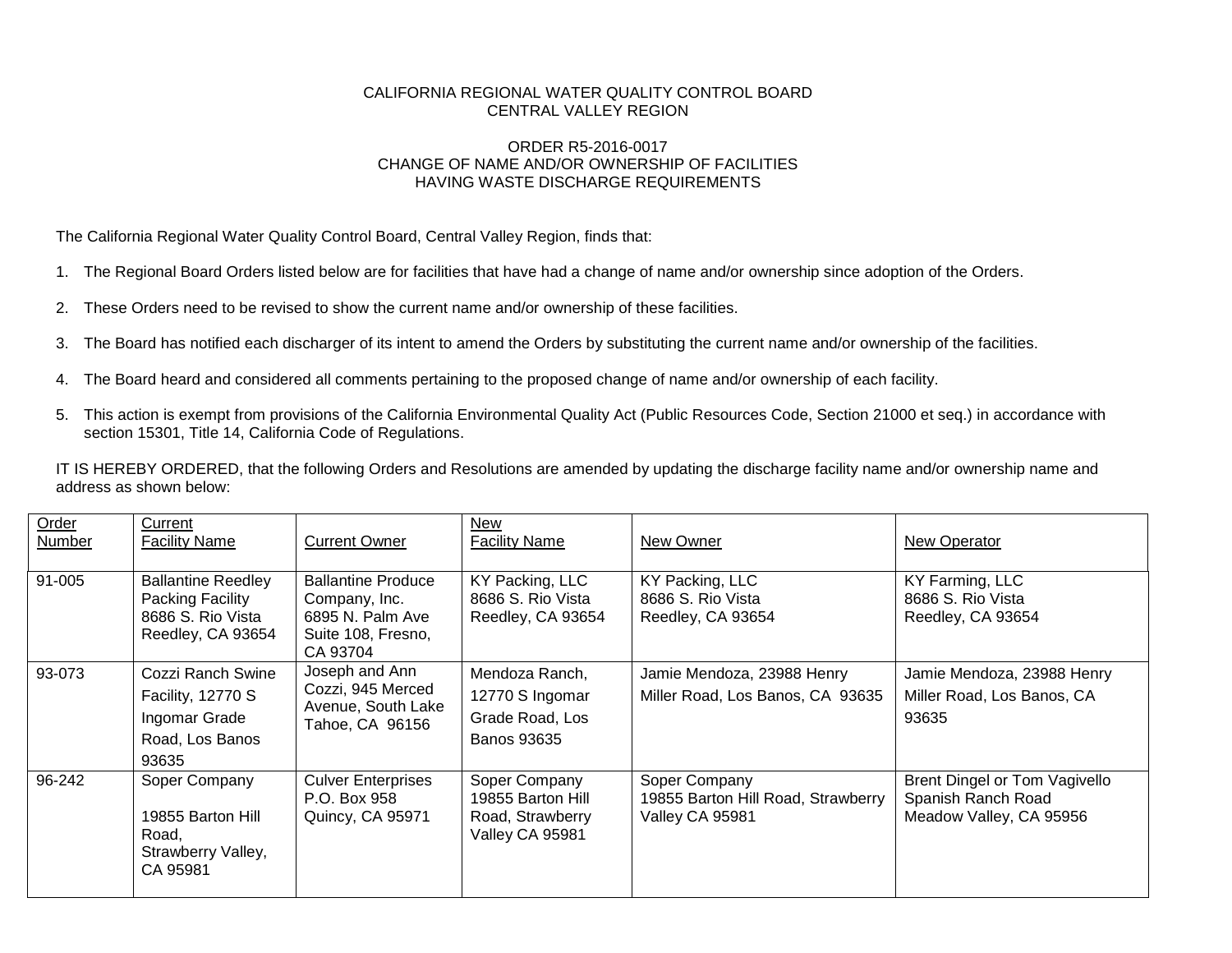## CALIFORNIA REGIONAL WATER QUALITY CONTROL BOARD CENTRAL VALLEY REGION

## ORDER R5-2016-0017 CHANGE OF NAME AND/OR OWNERSHIP OF FACILITIES HAVING WASTE DISCHARGE REQUIREMENTS

The California Regional Water Quality Control Board, Central Valley Region, finds that:

- 1. The Regional Board Orders listed below are for facilities that have had a change of name and/or ownership since adoption of the Orders.
- 2. These Orders need to be revised to show the current name and/or ownership of these facilities.
- 3. The Board has notified each discharger of its intent to amend the Orders by substituting the current name and/or ownership of the facilities.
- 4. The Board heard and considered all comments pertaining to the proposed change of name and/or ownership of each facility.
- 5. This action is exempt from provisions of the California Environmental Quality Act (Public Resources Code, Section 21000 et seq.) in accordance with section 15301, Title 14, California Code of Regulations.

IT IS HEREBY ORDERED, that the following Orders and Resolutions are amended by updating the discharge facility name and/or ownership name and address as shown below:

| Order<br><b>Number</b> | Current<br><b>Facility Name</b>                                                         | <b>Current Owner</b>                                                                             | New<br><b>Facility Name</b>                                                | New Owner                                                              | <b>New Operator</b>                                                            |
|------------------------|-----------------------------------------------------------------------------------------|--------------------------------------------------------------------------------------------------|----------------------------------------------------------------------------|------------------------------------------------------------------------|--------------------------------------------------------------------------------|
| 91-005                 | <b>Ballantine Reedley</b><br>Packing Facility<br>8686 S. Rio Vista<br>Reedley, CA 93654 | <b>Ballantine Produce</b><br>Company, Inc.<br>6895 N. Palm Ave<br>Suite 108, Fresno,<br>CA 93704 | KY Packing, LLC<br>8686 S. Rio Vista<br>Reedley, CA 93654                  | KY Packing, LLC<br>8686 S. Rio Vista<br>Reedley, CA 93654              | KY Farming, LLC<br>8686 S. Rio Vista<br>Reedley, CA 93654                      |
| 93-073                 | Cozzi Ranch Swine<br>Facility, 12770 S<br>Ingomar Grade<br>Road, Los Banos<br>93635     | Joseph and Ann<br>Cozzi, 945 Merced<br>Avenue, South Lake<br>Tahoe, CA 96156                     | Mendoza Ranch,<br>12770 S Ingomar<br>Grade Road, Los<br><b>Banos 93635</b> | Jamie Mendoza, 23988 Henry<br>Miller Road, Los Banos, CA 93635         | Jamie Mendoza, 23988 Henry<br>Miller Road, Los Banos, CA<br>93635              |
| 96-242                 | Soper Company<br>19855 Barton Hill<br>Road,<br>Strawberry Valley,<br>CA 95981           | <b>Culver Enterprises</b><br>P.O. Box 958<br>Quincy, CA 95971                                    | Soper Company<br>19855 Barton Hill<br>Road, Strawberry<br>Valley CA 95981  | Soper Company<br>19855 Barton Hill Road, Strawberry<br>Valley CA 95981 | Brent Dingel or Tom Vagivello<br>Spanish Ranch Road<br>Meadow Valley, CA 95956 |